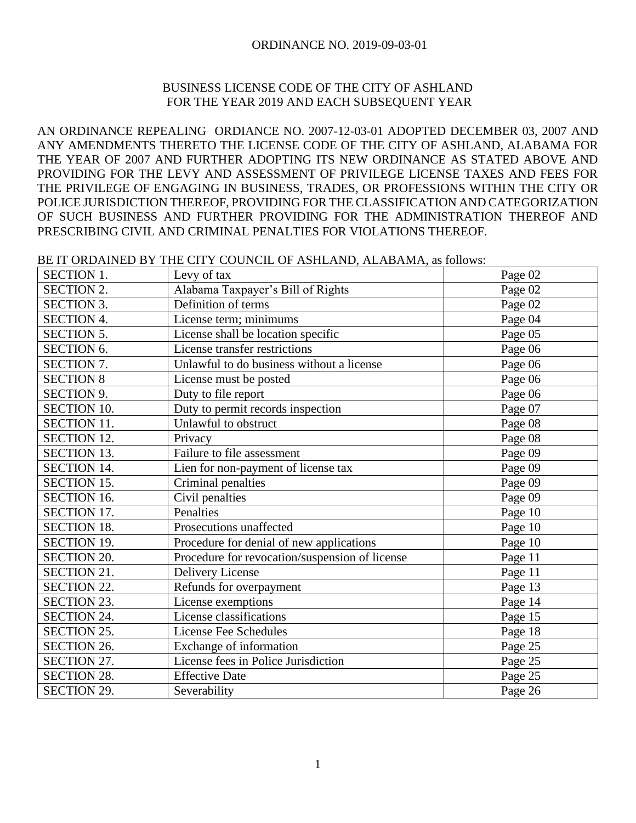# BUSINESS LICENSE CODE OF THE CITY OF ASHLAND FOR THE YEAR 2019 AND EACH SUBSEQUENT YEAR

AN ORDINANCE REPEALING ORDIANCE NO. 2007-12-03-01 ADOPTED DECEMBER 03, 2007 AND ANY AMENDMENTS THERETO THE LICENSE CODE OF THE CITY OF ASHLAND, ALABAMA FOR THE YEAR OF 2007 AND FURTHER ADOPTING ITS NEW ORDINANCE AS STATED ABOVE AND PROVIDING FOR THE LEVY AND ASSESSMENT OF PRIVILEGE LICENSE TAXES AND FEES FOR THE PRIVILEGE OF ENGAGING IN BUSINESS, TRADES, OR PROFESSIONS WITHIN THE CITY OR POLICE JURISDICTION THEREOF, PROVIDING FOR THE CLASSIFICATION AND CATEGORIZATION OF SUCH BUSINESS AND FURTHER PROVIDING FOR THE ADMINISTRATION THEREOF AND PRESCRIBING CIVIL AND CRIMINAL PENALTIES FOR VIOLATIONS THEREOF.

BE IT ORDAINED BY THE CITY COUNCIL OF ASHLAND, ALABAMA, as follows:

| <b>SECTION 1.</b>  | Levy of tax                                    | Page 02 |
|--------------------|------------------------------------------------|---------|
| <b>SECTION 2.</b>  | Alabama Taxpayer's Bill of Rights              | Page 02 |
| <b>SECTION 3.</b>  | Definition of terms                            | Page 02 |
| <b>SECTION 4.</b>  | License term; minimums                         | Page 04 |
| <b>SECTION 5.</b>  | License shall be location specific             | Page 05 |
| <b>SECTION 6.</b>  | License transfer restrictions                  | Page 06 |
| <b>SECTION 7.</b>  | Unlawful to do business without a license      | Page 06 |
| <b>SECTION 8</b>   | License must be posted                         | Page 06 |
| <b>SECTION 9.</b>  | Duty to file report                            | Page 06 |
| <b>SECTION 10.</b> | Duty to permit records inspection              | Page 07 |
| <b>SECTION 11.</b> | Unlawful to obstruct                           | Page 08 |
| <b>SECTION 12.</b> | Privacy                                        | Page 08 |
| <b>SECTION 13.</b> | Failure to file assessment                     | Page 09 |
| <b>SECTION 14.</b> | Lien for non-payment of license tax            | Page 09 |
| <b>SECTION 15.</b> | Criminal penalties                             | Page 09 |
| <b>SECTION 16.</b> | Civil penalties                                | Page 09 |
| <b>SECTION 17.</b> | Penalties                                      | Page 10 |
| <b>SECTION 18.</b> | Prosecutions unaffected                        | Page 10 |
| <b>SECTION 19.</b> | Procedure for denial of new applications       | Page 10 |
| <b>SECTION 20.</b> | Procedure for revocation/suspension of license | Page 11 |
| <b>SECTION 21.</b> | <b>Delivery License</b>                        | Page 11 |
| <b>SECTION 22.</b> | Refunds for overpayment                        | Page 13 |
| <b>SECTION 23.</b> | License exemptions                             | Page 14 |
| <b>SECTION 24.</b> | License classifications                        | Page 15 |
| <b>SECTION 25.</b> | License Fee Schedules                          | Page 18 |
| <b>SECTION 26.</b> | Exchange of information                        | Page 25 |
| SECTION 27.        | License fees in Police Jurisdiction            | Page 25 |
| <b>SECTION 28.</b> | <b>Effective Date</b>                          | Page 25 |
| <b>SECTION 29.</b> | Severability                                   | Page 26 |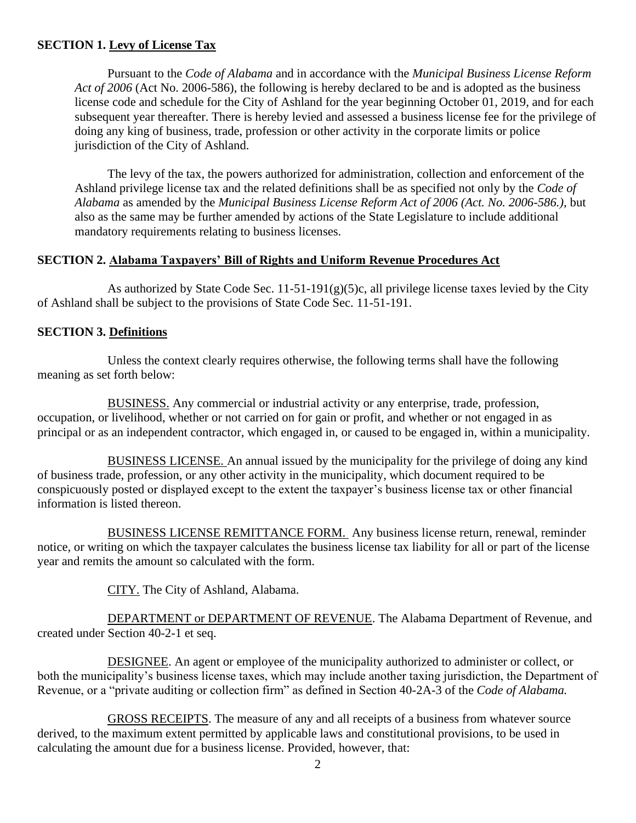## **SECTION 1. Levy of License Tax**

Pursuant to the *Code of Alabama* and in accordance with the *Municipal Business License Reform Act of 2006* (Act No. 2006-586), the following is hereby declared to be and is adopted as the business license code and schedule for the City of Ashland for the year beginning October 01, 2019, and for each subsequent year thereafter. There is hereby levied and assessed a business license fee for the privilege of doing any king of business, trade, profession or other activity in the corporate limits or police jurisdiction of the City of Ashland.

The levy of the tax, the powers authorized for administration, collection and enforcement of the Ashland privilege license tax and the related definitions shall be as specified not only by the *Code of Alabama* as amended by the *Municipal Business License Reform Act of 2006 (Act. No. 2006-586.)*, but also as the same may be further amended by actions of the State Legislature to include additional mandatory requirements relating to business licenses.

### **SECTION 2. Alabama Taxpayers' Bill of Rights and Uniform Revenue Procedures Act**

As authorized by State Code Sec.  $11-51-191(g)(5)c$ , all privilege license taxes levied by the City of Ashland shall be subject to the provisions of State Code Sec. 11-51-191.

## **SECTION 3. Definitions**

Unless the context clearly requires otherwise, the following terms shall have the following meaning as set forth below:

BUSINESS. Any commercial or industrial activity or any enterprise, trade, profession, occupation, or livelihood, whether or not carried on for gain or profit, and whether or not engaged in as principal or as an independent contractor, which engaged in, or caused to be engaged in, within a municipality.

BUSINESS LICENSE. An annual issued by the municipality for the privilege of doing any kind of business trade, profession, or any other activity in the municipality, which document required to be conspicuously posted or displayed except to the extent the taxpayer's business license tax or other financial information is listed thereon.

BUSINESS LICENSE REMITTANCE FORM. Any business license return, renewal, reminder notice, or writing on which the taxpayer calculates the business license tax liability for all or part of the license year and remits the amount so calculated with the form.

CITY. The City of Ashland, Alabama.

DEPARTMENT or DEPARTMENT OF REVENUE. The Alabama Department of Revenue, and created under Section 40-2-1 et seq.

DESIGNEE. An agent or employee of the municipality authorized to administer or collect, or both the municipality's business license taxes, which may include another taxing jurisdiction, the Department of Revenue, or a "private auditing or collection firm" as defined in Section 40-2A-3 of the *Code of Alabama.*

GROSS RECEIPTS. The measure of any and all receipts of a business from whatever source derived, to the maximum extent permitted by applicable laws and constitutional provisions, to be used in calculating the amount due for a business license. Provided, however, that: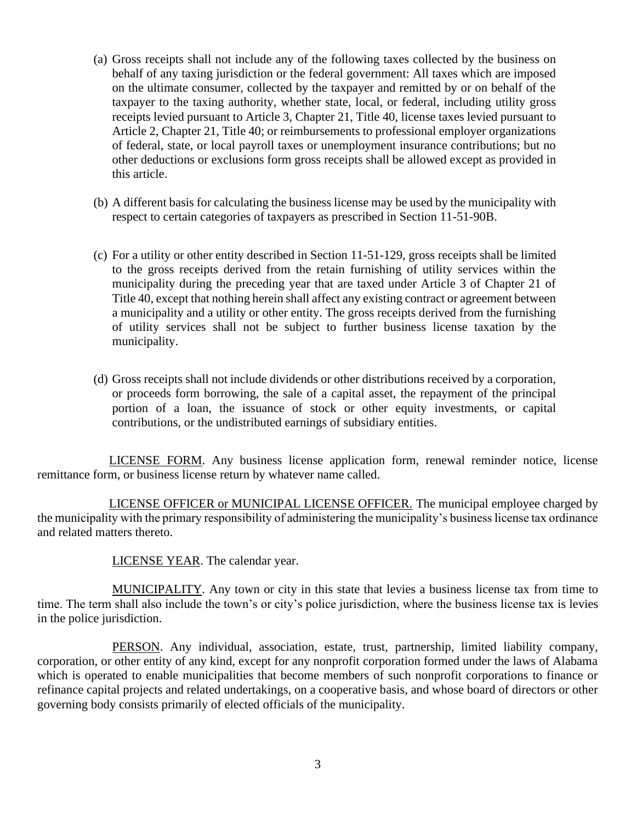- (a) Gross receipts shall not include any of the following taxes collected by the business on behalf of any taxing jurisdiction or the federal government: All taxes which are imposed on the ultimate consumer, collected by the taxpayer and remitted by or on behalf of the taxpayer to the taxing authority, whether state, local, or federal, including utility gross receipts levied pursuant to Article 3, Chapter 21, Title 40, license taxes levied pursuant to Article 2, Chapter 21, Title 40; or reimbursements to professional employer organizations of federal, state, or local payroll taxes or unemployment insurance contributions; but no other deductions or exclusions form gross receipts shall be allowed except as provided in this article.
- (b) A different basis for calculating the business license may be used by the municipality with respect to certain categories of taxpayers as prescribed in Section 11-51-90B.
- (c) For a utility or other entity described in Section 11-51-129, gross receipts shall be limited to the gross receipts derived from the retain furnishing of utility services within the municipality during the preceding year that are taxed under Article 3 of Chapter 21 of Title 40, except that nothing herein shall affect any existing contract or agreement between a municipality and a utility or other entity. The gross receipts derived from the furnishing of utility services shall not be subject to further business license taxation by the municipality.
- (d) Gross receipts shall not include dividends or other distributions received by a corporation, or proceeds form borrowing, the sale of a capital asset, the repayment of the principal portion of a loan, the issuance of stock or other equity investments, or capital contributions, or the undistributed earnings of subsidiary entities.

 LICENSE FORM. Any business license application form, renewal reminder notice, license remittance form, or business license return by whatever name called.

 LICENSE OFFICER or MUNICIPAL LICENSE OFFICER. The municipal employee charged by the municipality with the primary responsibility of administering the municipality's business license tax ordinance and related matters thereto.

LICENSE YEAR. The calendar year.

MUNICIPALITY. Any town or city in this state that levies a business license tax from time to time. The term shall also include the town's or city's police jurisdiction, where the business license tax is levies in the police jurisdiction.

PERSON. Any individual, association, estate, trust, partnership, limited liability company, corporation, or other entity of any kind, except for any nonprofit corporation formed under the laws of Alabama which is operated to enable municipalities that become members of such nonprofit corporations to finance or refinance capital projects and related undertakings, on a cooperative basis, and whose board of directors or other governing body consists primarily of elected officials of the municipality.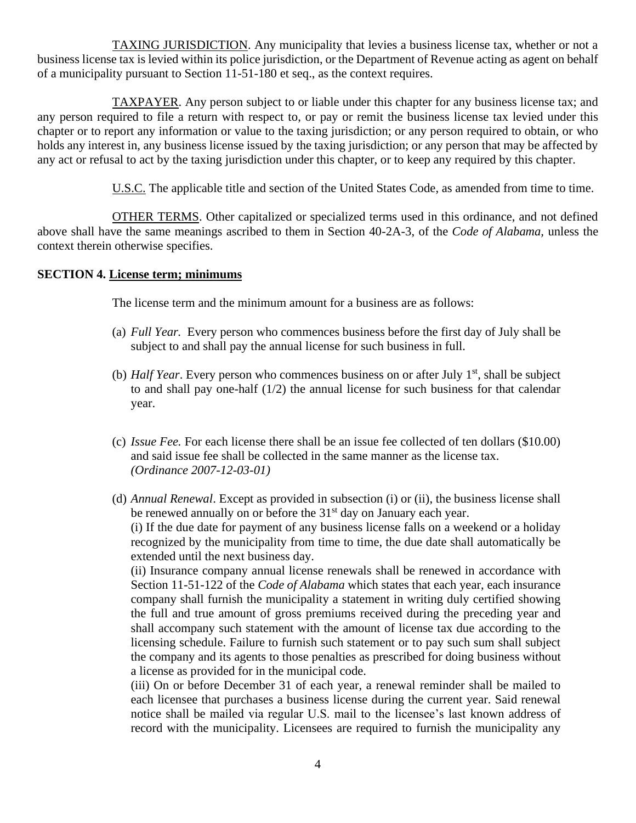TAXING JURISDICTION. Any municipality that levies a business license tax, whether or not a business license tax is levied within its police jurisdiction, or the Department of Revenue acting as agent on behalf of a municipality pursuant to Section 11-51-180 et seq., as the context requires.

TAXPAYER. Any person subject to or liable under this chapter for any business license tax; and any person required to file a return with respect to, or pay or remit the business license tax levied under this chapter or to report any information or value to the taxing jurisdiction; or any person required to obtain, or who holds any interest in, any business license issued by the taxing jurisdiction; or any person that may be affected by any act or refusal to act by the taxing jurisdiction under this chapter, or to keep any required by this chapter.

U.S.C. The applicable title and section of the United States Code, as amended from time to time.

OTHER TERMS. Other capitalized or specialized terms used in this ordinance, and not defined above shall have the same meanings ascribed to them in Section 40-2A-3, of the *Code of Alabama,* unless the context therein otherwise specifies.

## **SECTION 4. License term; minimums**

The license term and the minimum amount for a business are as follows:

- (a) *Full Year.* Every person who commences business before the first day of July shall be subject to and shall pay the annual license for such business in full.
- (b) *Half Year*. Every person who commences business on or after July  $1<sup>st</sup>$ , shall be subject to and shall pay one-half (1/2) the annual license for such business for that calendar year.
- (c) *Issue Fee.* For each license there shall be an issue fee collected of ten dollars (\$10.00) and said issue fee shall be collected in the same manner as the license tax. *(Ordinance 2007-12-03-01)*
- (d) *Annual Renewal*. Except as provided in subsection (i) or (ii), the business license shall be renewed annually on or before the  $31<sup>st</sup>$  day on January each year. (i) If the due date for payment of any business license falls on a weekend or a holiday

recognized by the municipality from time to time, the due date shall automatically be extended until the next business day.

(ii) Insurance company annual license renewals shall be renewed in accordance with Section 11-51-122 of the *Code of Alabama* which states that each year, each insurance company shall furnish the municipality a statement in writing duly certified showing the full and true amount of gross premiums received during the preceding year and shall accompany such statement with the amount of license tax due according to the licensing schedule. Failure to furnish such statement or to pay such sum shall subject the company and its agents to those penalties as prescribed for doing business without a license as provided for in the municipal code.

(iii) On or before December 31 of each year, a renewal reminder shall be mailed to each licensee that purchases a business license during the current year. Said renewal notice shall be mailed via regular U.S. mail to the licensee's last known address of record with the municipality. Licensees are required to furnish the municipality any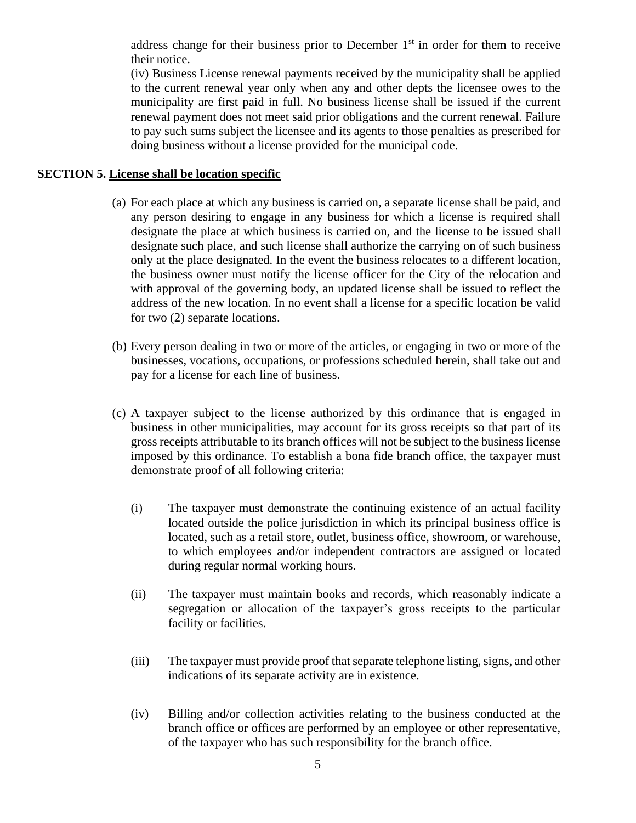address change for their business prior to December  $1<sup>st</sup>$  in order for them to receive their notice.

(iv) Business License renewal payments received by the municipality shall be applied to the current renewal year only when any and other depts the licensee owes to the municipality are first paid in full. No business license shall be issued if the current renewal payment does not meet said prior obligations and the current renewal. Failure to pay such sums subject the licensee and its agents to those penalties as prescribed for doing business without a license provided for the municipal code.

## **SECTION 5. License shall be location specific**

- (a) For each place at which any business is carried on, a separate license shall be paid, and any person desiring to engage in any business for which a license is required shall designate the place at which business is carried on, and the license to be issued shall designate such place, and such license shall authorize the carrying on of such business only at the place designated. In the event the business relocates to a different location, the business owner must notify the license officer for the City of the relocation and with approval of the governing body, an updated license shall be issued to reflect the address of the new location. In no event shall a license for a specific location be valid for two (2) separate locations.
- (b) Every person dealing in two or more of the articles, or engaging in two or more of the businesses, vocations, occupations, or professions scheduled herein, shall take out and pay for a license for each line of business.
- (c) A taxpayer subject to the license authorized by this ordinance that is engaged in business in other municipalities, may account for its gross receipts so that part of its gross receipts attributable to its branch offices will not be subject to the business license imposed by this ordinance. To establish a bona fide branch office, the taxpayer must demonstrate proof of all following criteria:
	- (i) The taxpayer must demonstrate the continuing existence of an actual facility located outside the police jurisdiction in which its principal business office is located, such as a retail store, outlet, business office, showroom, or warehouse, to which employees and/or independent contractors are assigned or located during regular normal working hours.
	- (ii) The taxpayer must maintain books and records, which reasonably indicate a segregation or allocation of the taxpayer's gross receipts to the particular facility or facilities.
	- (iii) The taxpayer must provide proof that separate telephone listing, signs, and other indications of its separate activity are in existence.
	- (iv) Billing and/or collection activities relating to the business conducted at the branch office or offices are performed by an employee or other representative, of the taxpayer who has such responsibility for the branch office.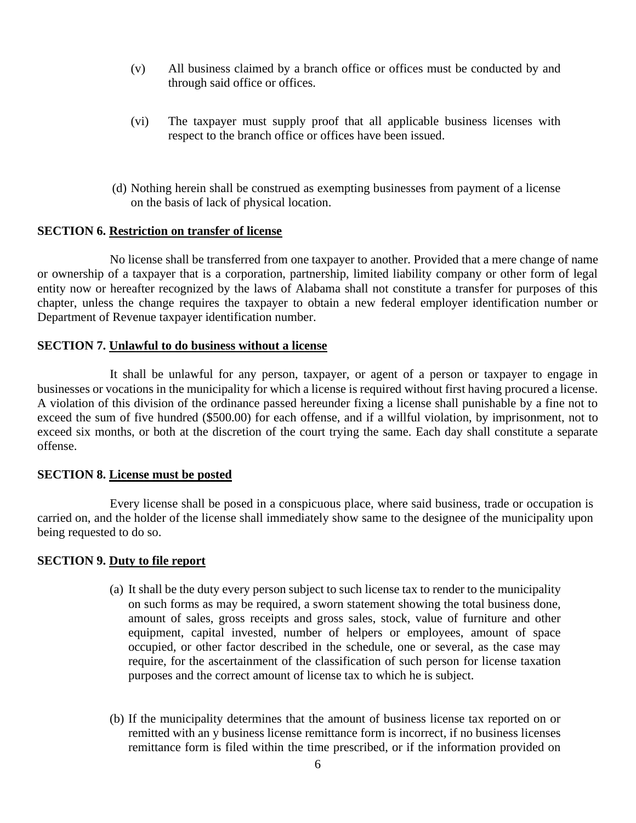- (v) All business claimed by a branch office or offices must be conducted by and through said office or offices.
- (vi) The taxpayer must supply proof that all applicable business licenses with respect to the branch office or offices have been issued.
- (d) Nothing herein shall be construed as exempting businesses from payment of a license on the basis of lack of physical location.

#### **SECTION 6. Restriction on transfer of license**

No license shall be transferred from one taxpayer to another. Provided that a mere change of name or ownership of a taxpayer that is a corporation, partnership, limited liability company or other form of legal entity now or hereafter recognized by the laws of Alabama shall not constitute a transfer for purposes of this chapter, unless the change requires the taxpayer to obtain a new federal employer identification number or Department of Revenue taxpayer identification number.

#### **SECTION 7. Unlawful to do business without a license**

It shall be unlawful for any person, taxpayer, or agent of a person or taxpayer to engage in businesses or vocations in the municipality for which a license is required without first having procured a license. A violation of this division of the ordinance passed hereunder fixing a license shall punishable by a fine not to exceed the sum of five hundred (\$500.00) for each offense, and if a willful violation, by imprisonment, not to exceed six months, or both at the discretion of the court trying the same. Each day shall constitute a separate offense.

#### **SECTION 8. License must be posted**

Every license shall be posed in a conspicuous place, where said business, trade or occupation is carried on, and the holder of the license shall immediately show same to the designee of the municipality upon being requested to do so.

#### **SECTION 9. Duty to file report**

- (a) It shall be the duty every person subject to such license tax to render to the municipality on such forms as may be required, a sworn statement showing the total business done, amount of sales, gross receipts and gross sales, stock, value of furniture and other equipment, capital invested, number of helpers or employees, amount of space occupied, or other factor described in the schedule, one or several, as the case may require, for the ascertainment of the classification of such person for license taxation purposes and the correct amount of license tax to which he is subject.
- (b) If the municipality determines that the amount of business license tax reported on or remitted with an y business license remittance form is incorrect, if no business licenses remittance form is filed within the time prescribed, or if the information provided on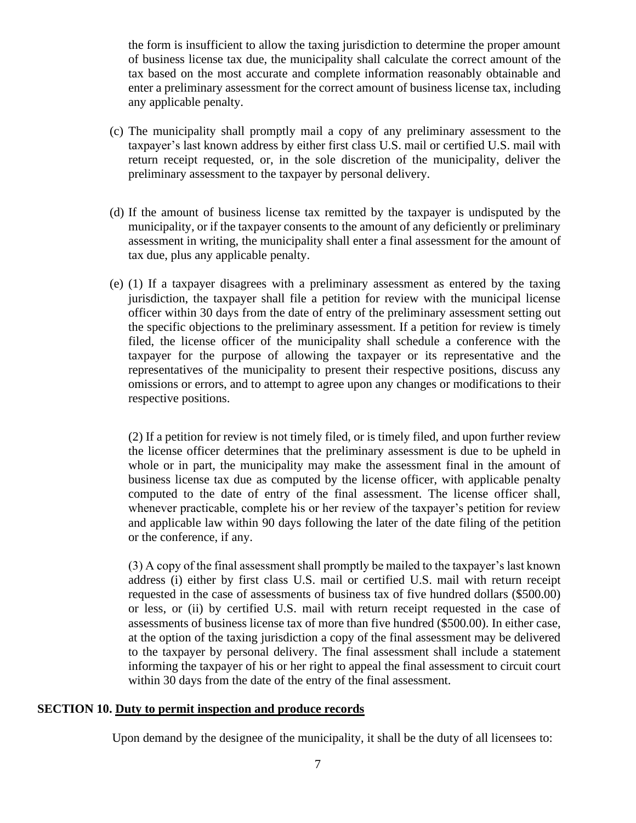the form is insufficient to allow the taxing jurisdiction to determine the proper amount of business license tax due, the municipality shall calculate the correct amount of the tax based on the most accurate and complete information reasonably obtainable and enter a preliminary assessment for the correct amount of business license tax, including any applicable penalty.

- (c) The municipality shall promptly mail a copy of any preliminary assessment to the taxpayer's last known address by either first class U.S. mail or certified U.S. mail with return receipt requested, or, in the sole discretion of the municipality, deliver the preliminary assessment to the taxpayer by personal delivery.
- (d) If the amount of business license tax remitted by the taxpayer is undisputed by the municipality, or if the taxpayer consents to the amount of any deficiently or preliminary assessment in writing, the municipality shall enter a final assessment for the amount of tax due, plus any applicable penalty.
- (e) (1) If a taxpayer disagrees with a preliminary assessment as entered by the taxing jurisdiction, the taxpayer shall file a petition for review with the municipal license officer within 30 days from the date of entry of the preliminary assessment setting out the specific objections to the preliminary assessment. If a petition for review is timely filed, the license officer of the municipality shall schedule a conference with the taxpayer for the purpose of allowing the taxpayer or its representative and the representatives of the municipality to present their respective positions, discuss any omissions or errors, and to attempt to agree upon any changes or modifications to their respective positions.

(2) If a petition for review is not timely filed, or is timely filed, and upon further review the license officer determines that the preliminary assessment is due to be upheld in whole or in part, the municipality may make the assessment final in the amount of business license tax due as computed by the license officer, with applicable penalty computed to the date of entry of the final assessment. The license officer shall, whenever practicable, complete his or her review of the taxpayer's petition for review and applicable law within 90 days following the later of the date filing of the petition or the conference, if any.

(3) A copy of the final assessment shall promptly be mailed to the taxpayer's last known address (i) either by first class U.S. mail or certified U.S. mail with return receipt requested in the case of assessments of business tax of five hundred dollars (\$500.00) or less, or (ii) by certified U.S. mail with return receipt requested in the case of assessments of business license tax of more than five hundred (\$500.00). In either case, at the option of the taxing jurisdiction a copy of the final assessment may be delivered to the taxpayer by personal delivery. The final assessment shall include a statement informing the taxpayer of his or her right to appeal the final assessment to circuit court within 30 days from the date of the entry of the final assessment.

## **SECTION 10. Duty to permit inspection and produce records**

Upon demand by the designee of the municipality, it shall be the duty of all licensees to: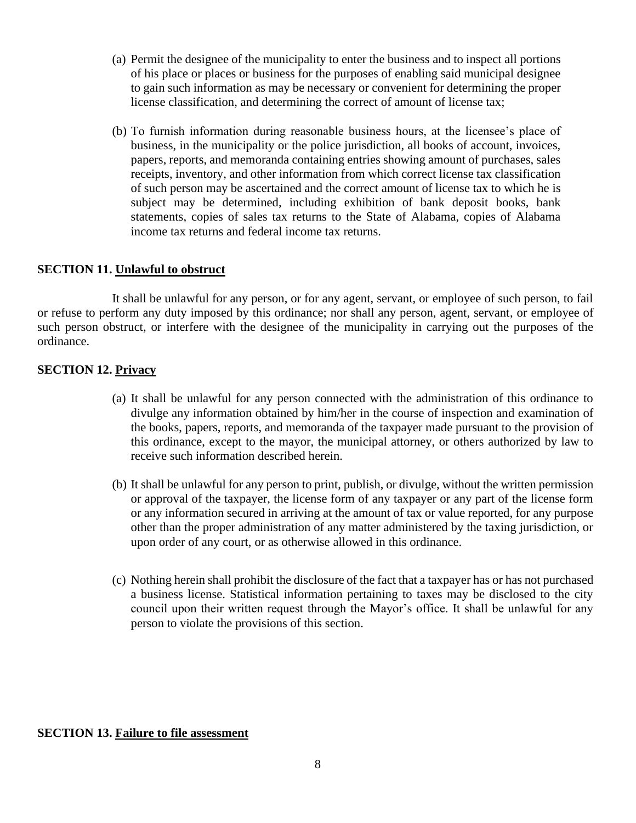- (a) Permit the designee of the municipality to enter the business and to inspect all portions of his place or places or business for the purposes of enabling said municipal designee to gain such information as may be necessary or convenient for determining the proper license classification, and determining the correct of amount of license tax;
- (b) To furnish information during reasonable business hours, at the licensee's place of business, in the municipality or the police jurisdiction, all books of account, invoices, papers, reports, and memoranda containing entries showing amount of purchases, sales receipts, inventory, and other information from which correct license tax classification of such person may be ascertained and the correct amount of license tax to which he is subject may be determined, including exhibition of bank deposit books, bank statements, copies of sales tax returns to the State of Alabama, copies of Alabama income tax returns and federal income tax returns.

### **SECTION 11. Unlawful to obstruct**

It shall be unlawful for any person, or for any agent, servant, or employee of such person, to fail or refuse to perform any duty imposed by this ordinance; nor shall any person, agent, servant, or employee of such person obstruct, or interfere with the designee of the municipality in carrying out the purposes of the ordinance.

#### **SECTION 12. Privacy**

- (a) It shall be unlawful for any person connected with the administration of this ordinance to divulge any information obtained by him/her in the course of inspection and examination of the books, papers, reports, and memoranda of the taxpayer made pursuant to the provision of this ordinance, except to the mayor, the municipal attorney, or others authorized by law to receive such information described herein.
- (b) It shall be unlawful for any person to print, publish, or divulge, without the written permission or approval of the taxpayer, the license form of any taxpayer or any part of the license form or any information secured in arriving at the amount of tax or value reported, for any purpose other than the proper administration of any matter administered by the taxing jurisdiction, or upon order of any court, or as otherwise allowed in this ordinance.
- (c) Nothing herein shall prohibit the disclosure of the fact that a taxpayer has or has not purchased a business license. Statistical information pertaining to taxes may be disclosed to the city council upon their written request through the Mayor's office. It shall be unlawful for any person to violate the provisions of this section.

#### **SECTION 13. Failure to file assessment**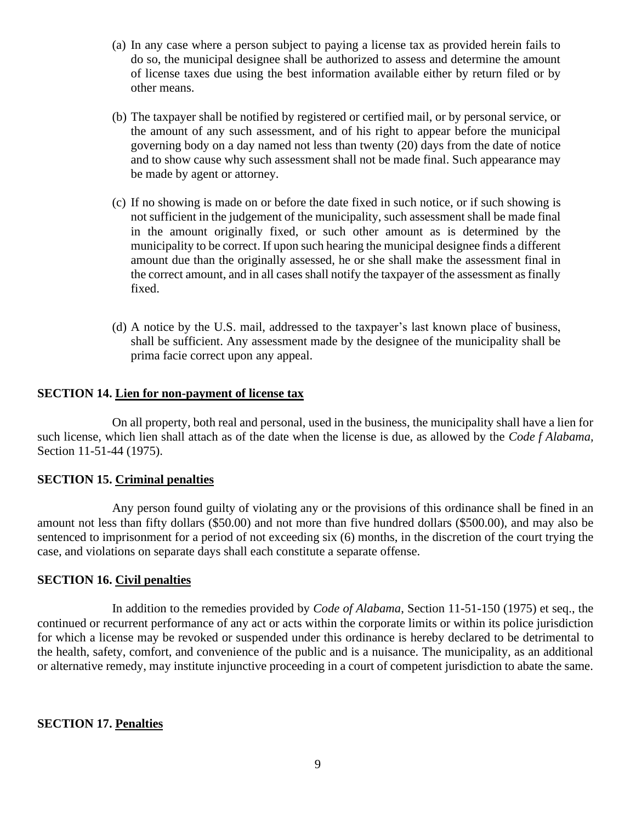- (a) In any case where a person subject to paying a license tax as provided herein fails to do so, the municipal designee shall be authorized to assess and determine the amount of license taxes due using the best information available either by return filed or by other means.
- (b) The taxpayer shall be notified by registered or certified mail, or by personal service, or the amount of any such assessment, and of his right to appear before the municipal governing body on a day named not less than twenty (20) days from the date of notice and to show cause why such assessment shall not be made final. Such appearance may be made by agent or attorney.
- (c) If no showing is made on or before the date fixed in such notice, or if such showing is not sufficient in the judgement of the municipality, such assessment shall be made final in the amount originally fixed, or such other amount as is determined by the municipality to be correct. If upon such hearing the municipal designee finds a different amount due than the originally assessed, he or she shall make the assessment final in the correct amount, and in all cases shall notify the taxpayer of the assessment as finally fixed.
- (d) A notice by the U.S. mail, addressed to the taxpayer's last known place of business, shall be sufficient. Any assessment made by the designee of the municipality shall be prima facie correct upon any appeal.

### **SECTION 14. Lien for non-payment of license tax**

On all property, both real and personal, used in the business, the municipality shall have a lien for such license, which lien shall attach as of the date when the license is due, as allowed by the *Code f Alabama,*  Section 11-51-44 (1975).

## **SECTION 15. Criminal penalties**

Any person found guilty of violating any or the provisions of this ordinance shall be fined in an amount not less than fifty dollars (\$50.00) and not more than five hundred dollars (\$500.00), and may also be sentenced to imprisonment for a period of not exceeding six (6) months, in the discretion of the court trying the case, and violations on separate days shall each constitute a separate offense.

#### **SECTION 16. Civil penalties**

In addition to the remedies provided by *Code of Alabama*, Section 11-51-150 (1975) et seq., the continued or recurrent performance of any act or acts within the corporate limits or within its police jurisdiction for which a license may be revoked or suspended under this ordinance is hereby declared to be detrimental to the health, safety, comfort, and convenience of the public and is a nuisance. The municipality, as an additional or alternative remedy, may institute injunctive proceeding in a court of competent jurisdiction to abate the same.

#### **SECTION 17. Penalties**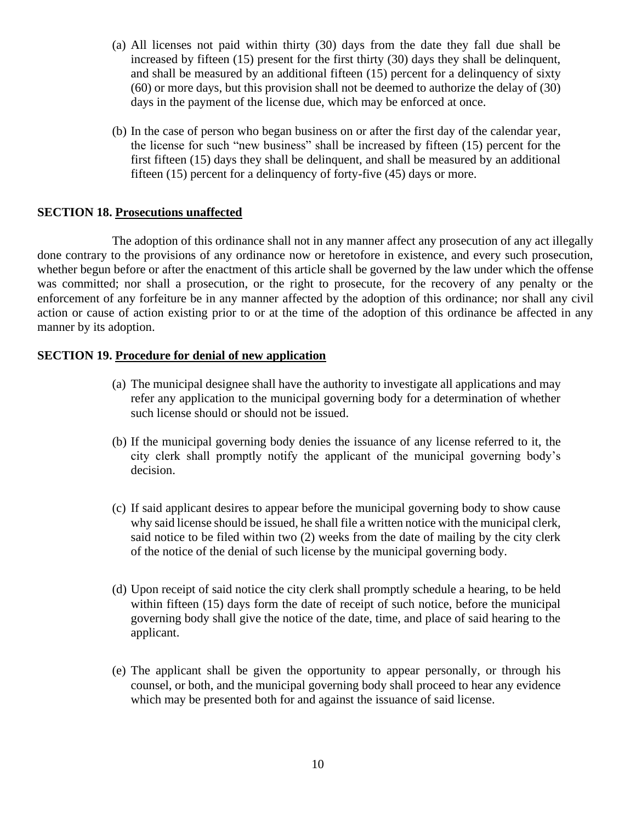- (a) All licenses not paid within thirty (30) days from the date they fall due shall be increased by fifteen (15) present for the first thirty (30) days they shall be delinquent, and shall be measured by an additional fifteen (15) percent for a delinquency of sixty (60) or more days, but this provision shall not be deemed to authorize the delay of (30) days in the payment of the license due, which may be enforced at once.
- (b) In the case of person who began business on or after the first day of the calendar year, the license for such "new business" shall be increased by fifteen (15) percent for the first fifteen (15) days they shall be delinquent, and shall be measured by an additional fifteen (15) percent for a delinquency of forty-five (45) days or more.

### **SECTION 18. Prosecutions unaffected**

The adoption of this ordinance shall not in any manner affect any prosecution of any act illegally done contrary to the provisions of any ordinance now or heretofore in existence, and every such prosecution, whether begun before or after the enactment of this article shall be governed by the law under which the offense was committed; nor shall a prosecution, or the right to prosecute, for the recovery of any penalty or the enforcement of any forfeiture be in any manner affected by the adoption of this ordinance; nor shall any civil action or cause of action existing prior to or at the time of the adoption of this ordinance be affected in any manner by its adoption.

## **SECTION 19. Procedure for denial of new application**

- (a) The municipal designee shall have the authority to investigate all applications and may refer any application to the municipal governing body for a determination of whether such license should or should not be issued.
- (b) If the municipal governing body denies the issuance of any license referred to it, the city clerk shall promptly notify the applicant of the municipal governing body's decision.
- (c) If said applicant desires to appear before the municipal governing body to show cause why said license should be issued, he shall file a written notice with the municipal clerk, said notice to be filed within two (2) weeks from the date of mailing by the city clerk of the notice of the denial of such license by the municipal governing body.
- (d) Upon receipt of said notice the city clerk shall promptly schedule a hearing, to be held within fifteen (15) days form the date of receipt of such notice, before the municipal governing body shall give the notice of the date, time, and place of said hearing to the applicant.
- (e) The applicant shall be given the opportunity to appear personally, or through his counsel, or both, and the municipal governing body shall proceed to hear any evidence which may be presented both for and against the issuance of said license.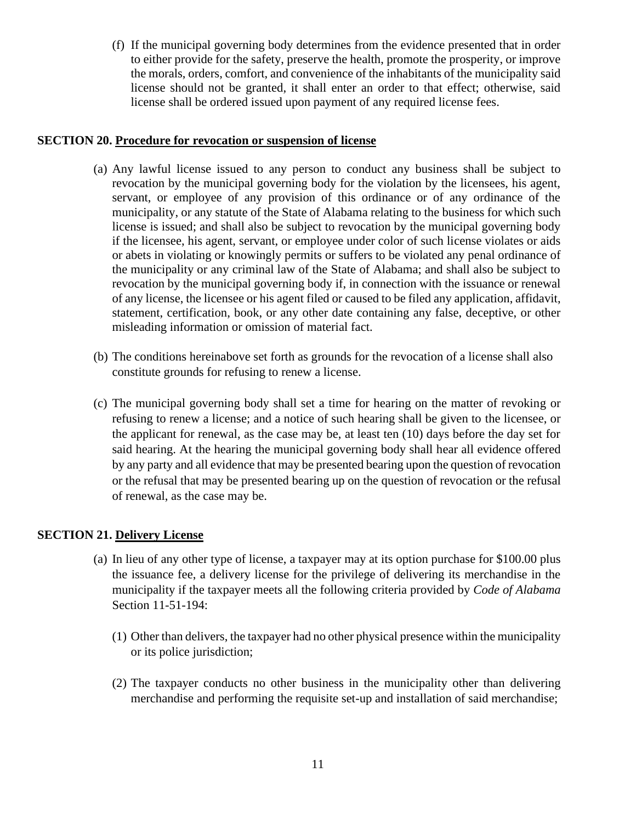(f) If the municipal governing body determines from the evidence presented that in order to either provide for the safety, preserve the health, promote the prosperity, or improve the morals, orders, comfort, and convenience of the inhabitants of the municipality said license should not be granted, it shall enter an order to that effect; otherwise, said license shall be ordered issued upon payment of any required license fees.

## **SECTION 20. Procedure for revocation or suspension of license**

- (a) Any lawful license issued to any person to conduct any business shall be subject to revocation by the municipal governing body for the violation by the licensees, his agent, servant, or employee of any provision of this ordinance or of any ordinance of the municipality, or any statute of the State of Alabama relating to the business for which such license is issued; and shall also be subject to revocation by the municipal governing body if the licensee, his agent, servant, or employee under color of such license violates or aids or abets in violating or knowingly permits or suffers to be violated any penal ordinance of the municipality or any criminal law of the State of Alabama; and shall also be subject to revocation by the municipal governing body if, in connection with the issuance or renewal of any license, the licensee or his agent filed or caused to be filed any application, affidavit, statement, certification, book, or any other date containing any false, deceptive, or other misleading information or omission of material fact.
- (b) The conditions hereinabove set forth as grounds for the revocation of a license shall also constitute grounds for refusing to renew a license.
- (c) The municipal governing body shall set a time for hearing on the matter of revoking or refusing to renew a license; and a notice of such hearing shall be given to the licensee, or the applicant for renewal, as the case may be, at least ten (10) days before the day set for said hearing. At the hearing the municipal governing body shall hear all evidence offered by any party and all evidence that may be presented bearing upon the question of revocation or the refusal that may be presented bearing up on the question of revocation or the refusal of renewal, as the case may be.

# **SECTION 21. Delivery License**

- (a) In lieu of any other type of license, a taxpayer may at its option purchase for \$100.00 plus the issuance fee, a delivery license for the privilege of delivering its merchandise in the municipality if the taxpayer meets all the following criteria provided by *Code of Alabama*  Section 11-51-194:
	- (1) Other than delivers, the taxpayer had no other physical presence within the municipality or its police jurisdiction;
	- (2) The taxpayer conducts no other business in the municipality other than delivering merchandise and performing the requisite set-up and installation of said merchandise;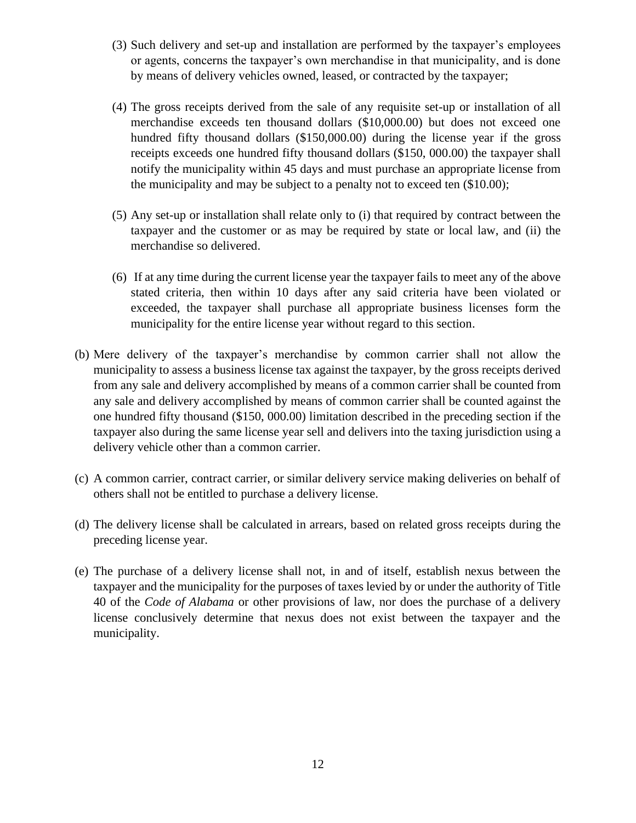- (3) Such delivery and set-up and installation are performed by the taxpayer's employees or agents, concerns the taxpayer's own merchandise in that municipality, and is done by means of delivery vehicles owned, leased, or contracted by the taxpayer;
- (4) The gross receipts derived from the sale of any requisite set-up or installation of all merchandise exceeds ten thousand dollars (\$10,000.00) but does not exceed one hundred fifty thousand dollars (\$150,000.00) during the license year if the gross receipts exceeds one hundred fifty thousand dollars (\$150, 000.00) the taxpayer shall notify the municipality within 45 days and must purchase an appropriate license from the municipality and may be subject to a penalty not to exceed ten (\$10.00);
- (5) Any set-up or installation shall relate only to (i) that required by contract between the taxpayer and the customer or as may be required by state or local law, and (ii) the merchandise so delivered.
- (6) If at any time during the current license year the taxpayer fails to meet any of the above stated criteria, then within 10 days after any said criteria have been violated or exceeded, the taxpayer shall purchase all appropriate business licenses form the municipality for the entire license year without regard to this section.
- (b) Mere delivery of the taxpayer's merchandise by common carrier shall not allow the municipality to assess a business license tax against the taxpayer, by the gross receipts derived from any sale and delivery accomplished by means of a common carrier shall be counted from any sale and delivery accomplished by means of common carrier shall be counted against the one hundred fifty thousand (\$150, 000.00) limitation described in the preceding section if the taxpayer also during the same license year sell and delivers into the taxing jurisdiction using a delivery vehicle other than a common carrier.
- (c) A common carrier, contract carrier, or similar delivery service making deliveries on behalf of others shall not be entitled to purchase a delivery license.
- (d) The delivery license shall be calculated in arrears, based on related gross receipts during the preceding license year.
- (e) The purchase of a delivery license shall not, in and of itself, establish nexus between the taxpayer and the municipality for the purposes of taxes levied by or under the authority of Title 40 of the *Code of Alabama* or other provisions of law, nor does the purchase of a delivery license conclusively determine that nexus does not exist between the taxpayer and the municipality.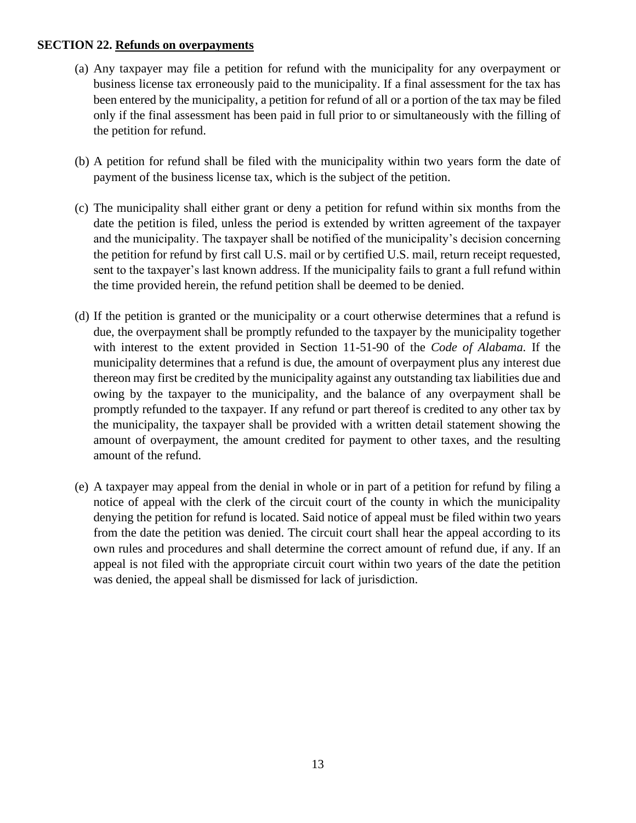## **SECTION 22. Refunds on overpayments**

- (a) Any taxpayer may file a petition for refund with the municipality for any overpayment or business license tax erroneously paid to the municipality. If a final assessment for the tax has been entered by the municipality, a petition for refund of all or a portion of the tax may be filed only if the final assessment has been paid in full prior to or simultaneously with the filling of the petition for refund.
- (b) A petition for refund shall be filed with the municipality within two years form the date of payment of the business license tax, which is the subject of the petition.
- (c) The municipality shall either grant or deny a petition for refund within six months from the date the petition is filed, unless the period is extended by written agreement of the taxpayer and the municipality. The taxpayer shall be notified of the municipality's decision concerning the petition for refund by first call U.S. mail or by certified U.S. mail, return receipt requested, sent to the taxpayer's last known address. If the municipality fails to grant a full refund within the time provided herein, the refund petition shall be deemed to be denied.
- (d) If the petition is granted or the municipality or a court otherwise determines that a refund is due, the overpayment shall be promptly refunded to the taxpayer by the municipality together with interest to the extent provided in Section 11-51-90 of the *Code of Alabama.* If the municipality determines that a refund is due, the amount of overpayment plus any interest due thereon may first be credited by the municipality against any outstanding tax liabilities due and owing by the taxpayer to the municipality, and the balance of any overpayment shall be promptly refunded to the taxpayer. If any refund or part thereof is credited to any other tax by the municipality, the taxpayer shall be provided with a written detail statement showing the amount of overpayment, the amount credited for payment to other taxes, and the resulting amount of the refund.
- (e) A taxpayer may appeal from the denial in whole or in part of a petition for refund by filing a notice of appeal with the clerk of the circuit court of the county in which the municipality denying the petition for refund is located. Said notice of appeal must be filed within two years from the date the petition was denied. The circuit court shall hear the appeal according to its own rules and procedures and shall determine the correct amount of refund due, if any. If an appeal is not filed with the appropriate circuit court within two years of the date the petition was denied, the appeal shall be dismissed for lack of jurisdiction.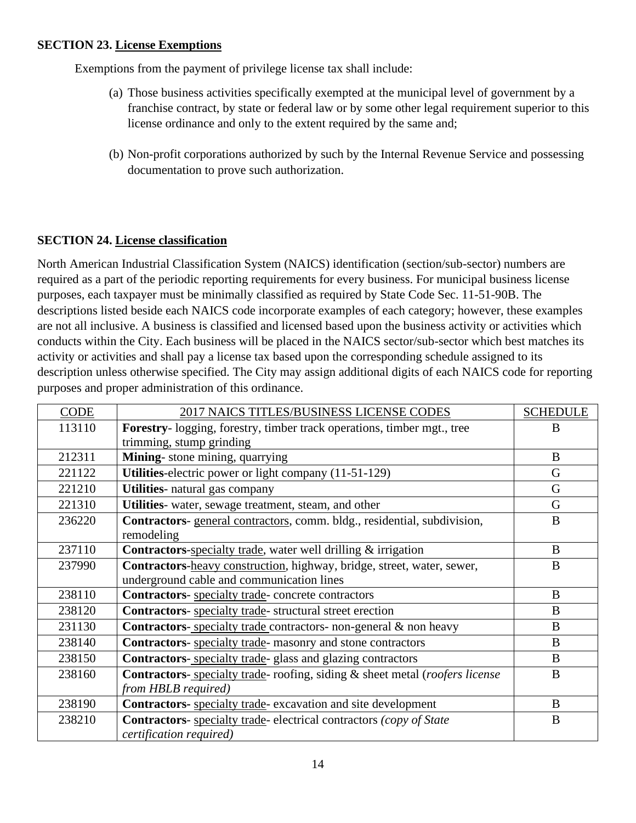# **SECTION 23. License Exemptions**

Exemptions from the payment of privilege license tax shall include:

- (a) Those business activities specifically exempted at the municipal level of government by a franchise contract, by state or federal law or by some other legal requirement superior to this license ordinance and only to the extent required by the same and;
- (b) Non-profit corporations authorized by such by the Internal Revenue Service and possessing documentation to prove such authorization.

## **SECTION 24. License classification**

North American Industrial Classification System (NAICS) identification (section/sub-sector) numbers are required as a part of the periodic reporting requirements for every business. For municipal business license purposes, each taxpayer must be minimally classified as required by State Code Sec. 11-51-90B. The descriptions listed beside each NAICS code incorporate examples of each category; however, these examples are not all inclusive. A business is classified and licensed based upon the business activity or activities which conducts within the City. Each business will be placed in the NAICS sector/sub-sector which best matches its activity or activities and shall pay a license tax based upon the corresponding schedule assigned to its description unless otherwise specified. The City may assign additional digits of each NAICS code for reporting purposes and proper administration of this ordinance.

| CODE   | 2017 NAICS TITLES/BUSINESS LICENSE CODES                                            | <b>SCHEDULE</b> |
|--------|-------------------------------------------------------------------------------------|-----------------|
| 113110 | <b>Forestry</b> -logging, forestry, timber track operations, timber mgt., tree      | B               |
|        | trimming, stump grinding                                                            |                 |
| 212311 | Mining-stone mining, quarrying                                                      | B               |
| 221122 | Utilities-electric power or light company (11-51-129)                               | G               |
| 221210 | Utilities- natural gas company                                                      | G               |
| 221310 | Utilities- water, sewage treatment, steam, and other                                | G               |
| 236220 | Contractors-general contractors, comm. bldg., residential, subdivision,             | B               |
|        | remodeling                                                                          |                 |
| 237110 | Contractors-specialty trade, water well drilling & irrigation                       | B               |
| 237990 | Contractors-heavy construction, highway, bridge, street, water, sewer,              | B               |
|        | underground cable and communication lines                                           |                 |
| 238110 | Contractors-specialty trade-concrete contractors                                    | B               |
| 238120 | <b>Contractors-</b> specialty trade- structural street erection                     | B               |
| 231130 | Contractors-specialty trade contractors- non-general & non heavy                    | $\bf{B}$        |
| 238140 | <b>Contractors-</b> specialty trade- masonry and stone contractors                  | B               |
| 238150 | <b>Contractors-</b> specialty trade- glass and glazing contractors                  | B               |
| 238160 | <b>Contractors-</b> specialty trade- roofing, siding & sheet metal (roofers license | B               |
|        | from HBLB required)                                                                 |                 |
| 238190 | Contractors- specialty trade-excavation and site development                        | B               |
| 238210 | Contractors- specialty trade-electrical contractors (copy of State                  | $\bf{B}$        |
|        | <i>certification required</i> )                                                     |                 |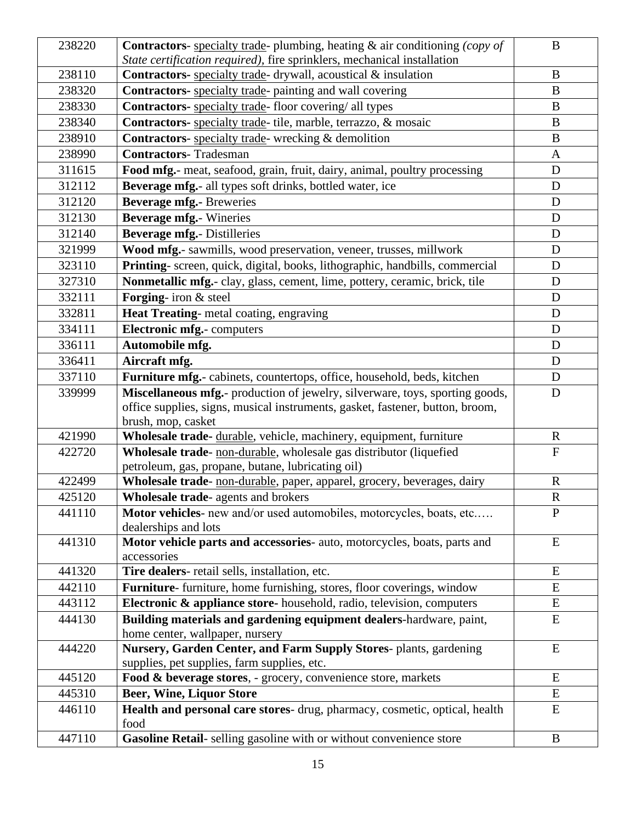| 238220 | <b>Contractors</b> - specialty trade- plumbing, heating $\&$ air conditioning (copy of<br>State certification required), fire sprinklers, mechanical installation                   | $\bf{B}$       |
|--------|-------------------------------------------------------------------------------------------------------------------------------------------------------------------------------------|----------------|
| 238110 | <b>Contractors-</b> specialty trade- drywall, acoustical & insulation                                                                                                               | $\bf{B}$       |
| 238320 | Contractors- specialty trade- painting and wall covering                                                                                                                            | $\bf{B}$       |
| 238330 | Contractors- specialty trade-floor covering/ all types                                                                                                                              | B              |
| 238340 | Contractors- specialty trade- tile, marble, terrazzo, & mosaic                                                                                                                      | B              |
| 238910 | Contractors- specialty trade- wrecking & demolition                                                                                                                                 | $\bf{B}$       |
| 238990 | <b>Contractors-Tradesman</b>                                                                                                                                                        | $\mathbf{A}$   |
| 311615 | Food mfg.- meat, seafood, grain, fruit, dairy, animal, poultry processing                                                                                                           | D              |
| 312112 | Beverage mfg.- all types soft drinks, bottled water, ice                                                                                                                            | $\mathbf D$    |
| 312120 | <b>Beverage mfg.- Breweries</b>                                                                                                                                                     | D              |
| 312130 | <b>Beverage mfg.</b> - Wineries                                                                                                                                                     | $\mathbf D$    |
| 312140 | <b>Beverage mfg.- Distilleries</b>                                                                                                                                                  | D              |
| 321999 | Wood mfg.- sawmills, wood preservation, veneer, trusses, millwork                                                                                                                   | $\mathbf D$    |
| 323110 | Printing- screen, quick, digital, books, lithographic, handbills, commercial                                                                                                        | $\mathbf D$    |
| 327310 | Nonmetallic mfg.- clay, glass, cement, lime, pottery, ceramic, brick, tile                                                                                                          | D              |
| 332111 | Forging- iron & steel                                                                                                                                                               | $\mathbf D$    |
| 332811 | Heat Treating- metal coating, engraving                                                                                                                                             | D              |
| 334111 | <b>Electronic mfg.-</b> computers                                                                                                                                                   | $\mathbf D$    |
| 336111 | Automobile mfg.                                                                                                                                                                     | D              |
| 336411 | Aircraft mfg.                                                                                                                                                                       | D              |
| 337110 | Furniture mfg.- cabinets, countertops, office, household, beds, kitchen                                                                                                             | $\mathbf D$    |
| 339999 | Miscellaneous mfg.- production of jewelry, silverware, toys, sporting goods,<br>office supplies, signs, musical instruments, gasket, fastener, button, broom,<br>brush, mop, casket | $\mathbf D$    |
| 421990 | Wholesale trade- durable, vehicle, machinery, equipment, furniture                                                                                                                  | $\mathbf R$    |
| 422720 | Wholesale trade- non-durable, wholesale gas distributor (liquefied                                                                                                                  | $\overline{F}$ |
|        | petroleum, gas, propane, butane, lubricating oil)                                                                                                                                   |                |
| 422499 | Wholesale trade- non-durable, paper, apparel, grocery, beverages, dairy                                                                                                             | $\mathbf R$    |
| 425120 | Wholesale trade- agents and brokers                                                                                                                                                 | $\mathbf R$    |
| 441110 | Motor vehicles- new and/or used automobiles, motorcycles, boats, etc<br>dealerships and lots                                                                                        | $\mathbf{P}$   |
| 441310 | Motor vehicle parts and accessories- auto, motorcycles, boats, parts and<br>accessories                                                                                             | E              |
| 441320 | Tire dealers- retail sells, installation, etc.                                                                                                                                      | E              |
| 442110 | Furniture- furniture, home furnishing, stores, floor coverings, window                                                                                                              | E              |
| 443112 | Electronic & appliance store-household, radio, television, computers                                                                                                                | E              |
| 444130 | Building materials and gardening equipment dealers-hardware, paint,<br>home center, wallpaper, nursery                                                                              | ${\bf E}$      |
| 444220 | Nursery, Garden Center, and Farm Supply Stores- plants, gardening<br>supplies, pet supplies, farm supplies, etc.                                                                    | E              |
| 445120 | Food & beverage stores, - grocery, convenience store, markets                                                                                                                       | E              |
| 445310 | <b>Beer, Wine, Liquor Store</b>                                                                                                                                                     | E              |
| 446110 | Health and personal care stores- drug, pharmacy, cosmetic, optical, health<br>food                                                                                                  | E              |
| 447110 | Gasoline Retail-selling gasoline with or without convenience store                                                                                                                  | $\bf{B}$       |
|        |                                                                                                                                                                                     |                |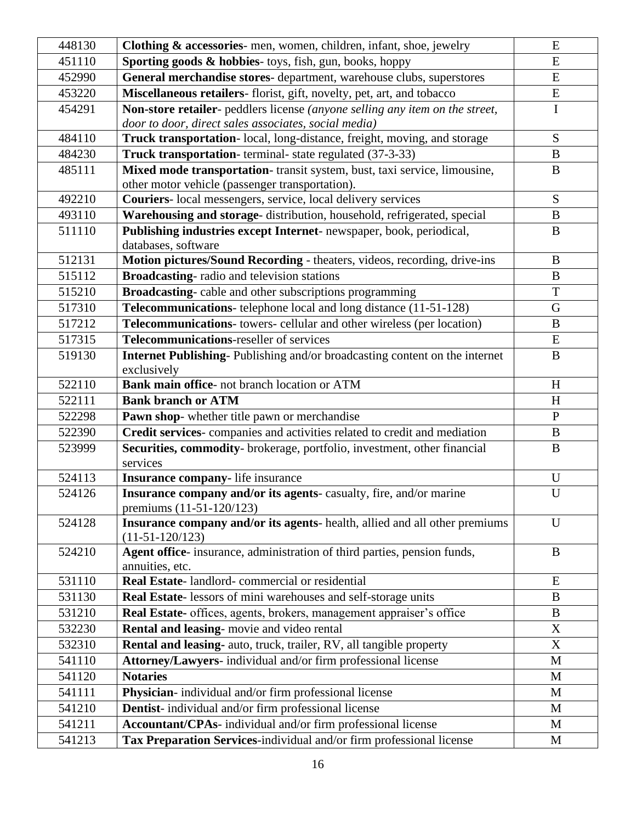| 448130 | Clothing & accessories- men, women, children, infant, shoe, jewelry                             | E            |
|--------|-------------------------------------------------------------------------------------------------|--------------|
| 451110 | Sporting goods & hobbies-toys, fish, gun, books, hoppy                                          | ${\bf E}$    |
| 452990 | General merchandise stores- department, warehouse clubs, superstores                            | ${\bf E}$    |
| 453220 | Miscellaneous retailers- florist, gift, novelty, pet, art, and tobacco                          | ${\bf E}$    |
| 454291 | Non-store retailer- peddlers license (anyone selling any item on the street,                    | $\mathbf I$  |
|        | door to door, direct sales associates, social media)                                            |              |
| 484110 | Truck transportation- local, long-distance, freight, moving, and storage                        | ${\bf S}$    |
| 484230 | Truck transportation-terminal-state regulated (37-3-33)                                         | $\bf{B}$     |
| 485111 | Mixed mode transportation-transit system, bust, taxi service, limousine,                        | $\bf{B}$     |
|        | other motor vehicle (passenger transportation).                                                 |              |
| 492210 | Couriers-local messengers, service, local delivery services                                     | S            |
| 493110 | Warehousing and storage- distribution, household, refrigerated, special                         | $\bf{B}$     |
| 511110 | Publishing industries except Internet-newspaper, book, periodical,                              | $\bf{B}$     |
|        | databases, software                                                                             |              |
| 512131 | Motion pictures/Sound Recording - theaters, videos, recording, drive-ins                        | $\bf{B}$     |
| 515112 | Broadcasting-radio and television stations                                                      | B            |
| 515210 | Broadcasting-cable and other subscriptions programming                                          | T            |
| 517310 | Telecommunications- telephone local and long distance (11-51-128)                               | $\mathbf G$  |
| 517212 | Telecommunications- towers- cellular and other wireless (per location)                          | $\bf{B}$     |
| 517315 | Telecommunications-reseller of services                                                         | ${\bf E}$    |
| 519130 | Internet Publishing-Publishing and/or broadcasting content on the internet                      | $\bf{B}$     |
|        | exclusively                                                                                     |              |
| 522110 | Bank main office- not branch location or ATM                                                    | H            |
| 522111 | <b>Bank branch or ATM</b>                                                                       | H            |
| 522298 | Pawn shop- whether title pawn or merchandise                                                    | $\mathbf{P}$ |
| 522390 | Credit services-companies and activities related to credit and mediation                        | $\bf{B}$     |
| 523999 | Securities, commodity- brokerage, portfolio, investment, other financial<br>services            | $\bf{B}$     |
| 524113 | Insurance company-life insurance                                                                | U            |
| 524126 | Insurance company and/or its agents-casualty, fire, and/or marine<br>premiums (11-51-120/123)   | $\mathbf U$  |
| 524128 | Insurance company and/or its agents- health, allied and all other premiums<br>$(11-51-120/123)$ | U            |
| 524210 | Agent office- insurance, administration of third parties, pension funds,<br>annuities, etc.     | B            |
| 531110 | Real Estate-landlord-commercial or residential                                                  | E            |
| 531130 | Real Estate-lessors of mini warehouses and self-storage units                                   | $\bf{B}$     |
| 531210 | Real Estate- offices, agents, brokers, management appraiser's office                            | B            |
| 532230 | Rental and leasing-movie and video rental                                                       | X            |
| 532310 | Rental and leasing- auto, truck, trailer, RV, all tangible property                             | X            |
| 541110 | Attorney/Lawyers- individual and/or firm professional license                                   | M            |
| 541120 | <b>Notaries</b>                                                                                 | M            |
| 541111 | Physician-individual and/or firm professional license                                           | M            |
| 541210 | Dentist-individual and/or firm professional license                                             | M            |
| 541211 | Accountant/CPAs- individual and/or firm professional license                                    | M            |
| 541213 | Tax Preparation Services-individual and/or firm professional license                            | M            |
|        |                                                                                                 |              |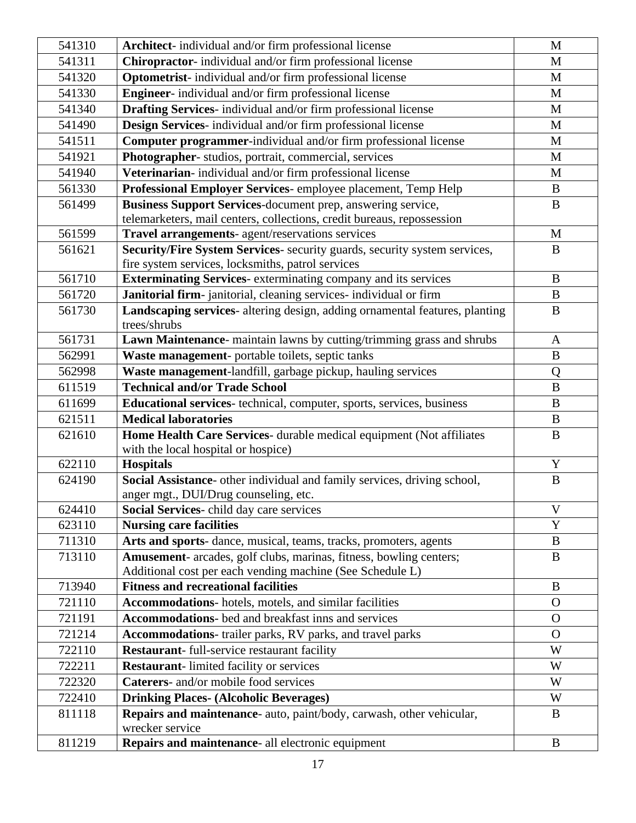| 541310 | Architect- individual and/or firm professional license                                                                          | M            |
|--------|---------------------------------------------------------------------------------------------------------------------------------|--------------|
| 541311 | Chiropractor-individual and/or firm professional license                                                                        | M            |
| 541320 | Optometrist-individual and/or firm professional license                                                                         | M            |
| 541330 | <b>Engineer-</b> individual and/or firm professional license                                                                    | M            |
| 541340 | Drafting Services- individual and/or firm professional license                                                                  | $\mathbf{M}$ |
| 541490 | Design Services- individual and/or firm professional license                                                                    | M            |
| 541511 | Computer programmer-individual and/or firm professional license                                                                 | M            |
| 541921 | Photographer-studios, portrait, commercial, services                                                                            | M            |
| 541940 | Veterinarian- individual and/or firm professional license                                                                       | M            |
| 561330 | Professional Employer Services-employee placement, Temp Help                                                                    | B            |
| 561499 | Business Support Services-document prep, answering service,                                                                     | $\bf{B}$     |
|        | telemarketers, mail centers, collections, credit bureaus, repossession                                                          |              |
| 561599 | Travel arrangements- agent/reservations services                                                                                | $\mathbf{M}$ |
| 561621 | Security/Fire System Services- security guards, security system services,                                                       | $\bf{B}$     |
|        | fire system services, locksmiths, patrol services                                                                               |              |
| 561710 | <b>Exterminating Services</b> - exterminating company and its services                                                          | $\bf{B}$     |
| 561720 | Janitorial firm-janitorial, cleaning services- individual or firm                                                               | B            |
| 561730 | Landscaping services- altering design, adding ornamental features, planting                                                     | B            |
|        | trees/shrubs                                                                                                                    |              |
| 561731 | Lawn Maintenance- maintain lawns by cutting/trimming grass and shrubs                                                           | $\mathbf{A}$ |
| 562991 | Waste management- portable toilets, septic tanks                                                                                | $\bf{B}$     |
| 562998 | Waste management-landfill, garbage pickup, hauling services                                                                     | Q            |
| 611519 | <b>Technical and/or Trade School</b>                                                                                            | $\, {\bf B}$ |
| 611699 | <b>Educational services</b> - technical, computer, sports, services, business                                                   | $\bf{B}$     |
| 621511 | <b>Medical laboratories</b>                                                                                                     | B            |
| 621610 | Home Health Care Services- durable medical equipment (Not affiliates                                                            | B            |
|        | with the local hospital or hospice)                                                                                             |              |
| 622110 | <b>Hospitals</b>                                                                                                                | Y            |
| 624190 | Social Assistance- other individual and family services, driving school,                                                        | $\, {\bf B}$ |
|        | anger mgt., DUI/Drug counseling, etc.                                                                                           |              |
| 624410 | Social Services-child day care services                                                                                         | V            |
| 623110 | <b>Nursing care facilities</b>                                                                                                  | Y            |
| 711310 | Arts and sports- dance, musical, teams, tracks, promoters, agents                                                               | $\bf{B}$     |
| 713110 | Amusement- arcades, golf clubs, marinas, fitness, bowling centers;<br>Additional cost per each vending machine (See Schedule L) | $\bf{B}$     |
| 713940 | <b>Fitness and recreational facilities</b>                                                                                      | B            |
| 721110 | Accommodations- hotels, motels, and similar facilities                                                                          | $\mathbf{O}$ |
| 721191 | <b>Accommodations-</b> bed and breakfast inns and services                                                                      | $\mathbf{O}$ |
| 721214 | Accommodations- trailer parks, RV parks, and travel parks                                                                       | $\Omega$     |
| 722110 | Restaurant- full-service restaurant facility                                                                                    | W            |
| 722211 | <b>Restaurant-</b> limited facility or services                                                                                 | W            |
| 722320 | Caterers- and/or mobile food services                                                                                           | W            |
|        |                                                                                                                                 | W            |
| 722410 | <b>Drinking Places- (Alcoholic Beverages)</b>                                                                                   | B            |
| 811118 | Repairs and maintenance- auto, paint/body, carwash, other vehicular,<br>wrecker service                                         |              |
| 811219 | Repairs and maintenance- all electronic equipment                                                                               | B            |
|        |                                                                                                                                 |              |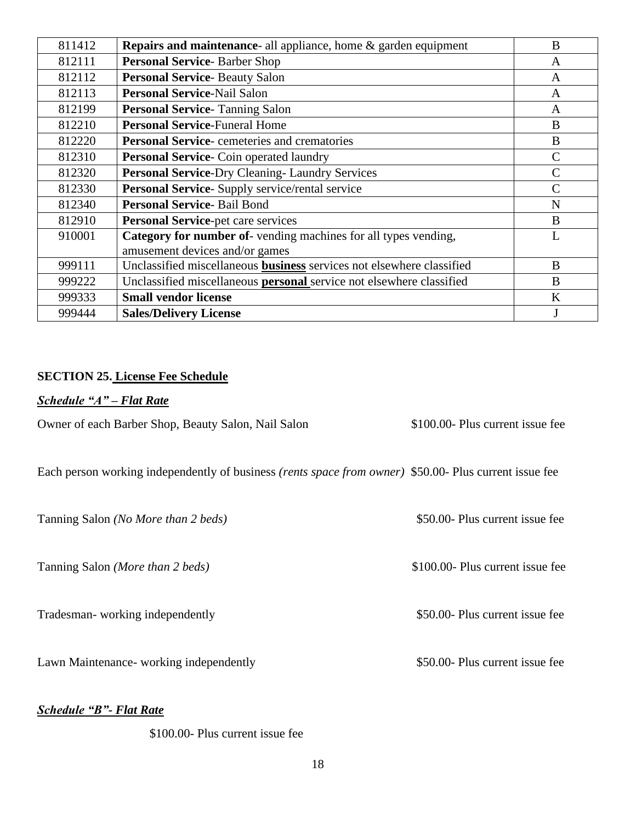| 811412 | <b>Repairs and maintenance-</b> all appliance, home & garden equipment                           | B |
|--------|--------------------------------------------------------------------------------------------------|---|
| 812111 | <b>Personal Service-Barber Shop</b>                                                              | A |
| 812112 | <b>Personal Service-Beauty Salon</b>                                                             | A |
| 812113 | <b>Personal Service-Nail Salon</b>                                                               | A |
| 812199 | <b>Personal Service-Tanning Salon</b>                                                            | A |
| 812210 | <b>Personal Service-Funeral Home</b>                                                             | B |
| 812220 | <b>Personal Service-</b> cemeteries and crematories                                              | B |
| 812310 | <b>Personal Service-</b> Coin operated laundry                                                   |   |
| 812320 | <b>Personal Service-Dry Cleaning-Laundry Services</b>                                            |   |
| 812330 | Personal Service- Supply service/rental service                                                  |   |
| 812340 | <b>Personal Service-Bail Bond</b>                                                                | N |
| 812910 | Personal Service-pet care services                                                               | B |
| 910001 | Category for number of-vending machines for all types vending,<br>amusement devices and/or games |   |
| 999111 | Unclassified miscellaneous <b>business</b> services not elsewhere classified                     | B |
| 999222 | Unclassified miscellaneous <b>personal</b> service not elsewhere classified                      | B |
| 999333 | <b>Small vendor license</b>                                                                      | K |
| 999444 | <b>Sales/Delivery License</b>                                                                    |   |

### **SECTION 25. License Fee Schedule**

# *Schedule "A" – Flat Rate*

Owner of each Barber Shop, Beauty Salon, Nail Salon \$100.00- Plus current issue fee

Each person working independently of business *(rents space from owner)* \$50.00- Plus current issue fee

Tanning Salon *(No More than 2 beds)* \$50.00- Plus current issue fee

Tanning Salon *(More than 2 beds)* \$100.00- Plus current issue fee

Tradesman- working independently \$50.00- Plus current issue fee

Lawn Maintenance- working independently \$50.00- Plus current issue fee

*Schedule "B"- Flat Rate*

\$100.00- Plus current issue fee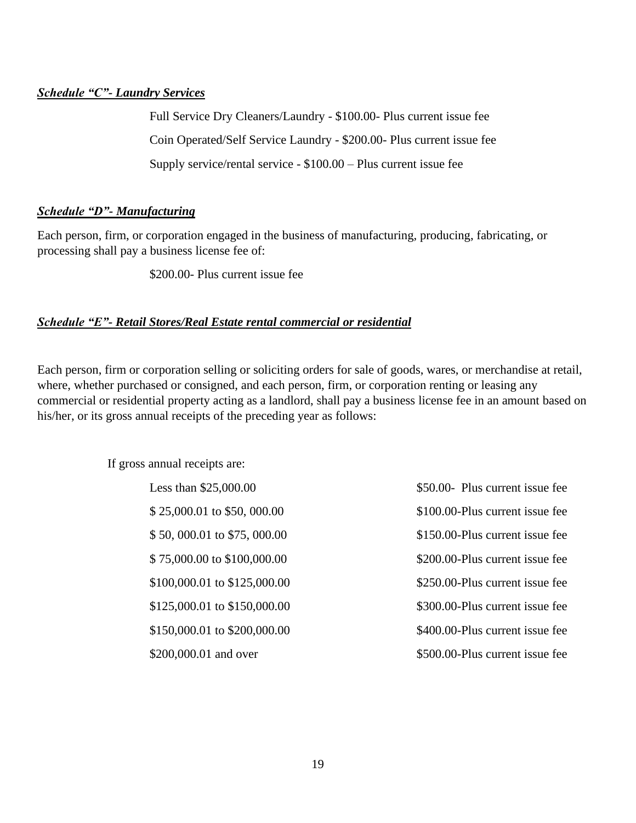# *Schedule "C"- Laundry Services*

Full Service Dry Cleaners/Laundry - \$100.00- Plus current issue fee Coin Operated/Self Service Laundry - \$200.00- Plus current issue fee Supply service/rental service - \$100.00 – Plus current issue fee

# *Schedule "D"- Manufacturing*

Each person, firm, or corporation engaged in the business of manufacturing, producing, fabricating, or processing shall pay a business license fee of:

\$200.00- Plus current issue fee

# *Schedule "E"- Retail Stores/Real Estate rental commercial or residential*

Each person, firm or corporation selling or soliciting orders for sale of goods, wares, or merchandise at retail, where, whether purchased or consigned, and each person, firm, or corporation renting or leasing any commercial or residential property acting as a landlord, shall pay a business license fee in an amount based on his/her, or its gross annual receipts of the preceding year as follows:

If gross annual receipts are:

| Less than $$25,000.00$       | \$50.00- Plus current issue fee |
|------------------------------|---------------------------------|
| $$25,000.01$ to \$50, 000.00 | \$100.00-Plus current issue fee |
| \$50,000.01 to \$75,000.00   | \$150.00-Plus current issue fee |
| \$75,000.00 to \$100,000.00  | \$200.00-Plus current issue fee |
| \$100,000.01 to \$125,000.00 | \$250.00-Plus current issue fee |
| \$125,000.01 to \$150,000.00 | \$300.00-Plus current issue fee |
| \$150,000.01 to \$200,000.00 | \$400.00-Plus current issue fee |
| \$200,000.01 and over        | \$500.00-Plus current issue fee |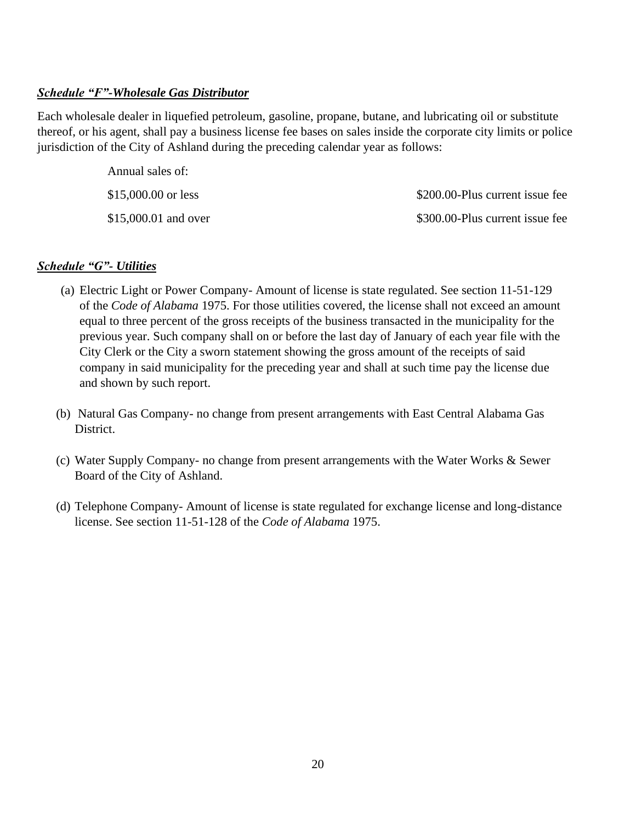## *Schedule "F"-Wholesale Gas Distributor*

Each wholesale dealer in liquefied petroleum, gasoline, propane, butane, and lubricating oil or substitute thereof, or his agent, shall pay a business license fee bases on sales inside the corporate city limits or police jurisdiction of the City of Ashland during the preceding calendar year as follows:

| Annual sales of:     |                                 |
|----------------------|---------------------------------|
| \$15,000.00 or less  | \$200.00-Plus current issue fee |
| \$15,000.01 and over | \$300.00-Plus current issue fee |

### *Schedule "G"- Utilities*

- (a) Electric Light or Power Company- Amount of license is state regulated. See section 11-51-129 of the *Code of Alabama* 1975. For those utilities covered, the license shall not exceed an amount equal to three percent of the gross receipts of the business transacted in the municipality for the previous year. Such company shall on or before the last day of January of each year file with the City Clerk or the City a sworn statement showing the gross amount of the receipts of said company in said municipality for the preceding year and shall at such time pay the license due and shown by such report.
- (b) Natural Gas Company- no change from present arrangements with East Central Alabama Gas District.
- (c) Water Supply Company- no change from present arrangements with the Water Works & Sewer Board of the City of Ashland.
- (d) Telephone Company- Amount of license is state regulated for exchange license and long-distance license. See section 11-51-128 of the *Code of Alabama* 1975.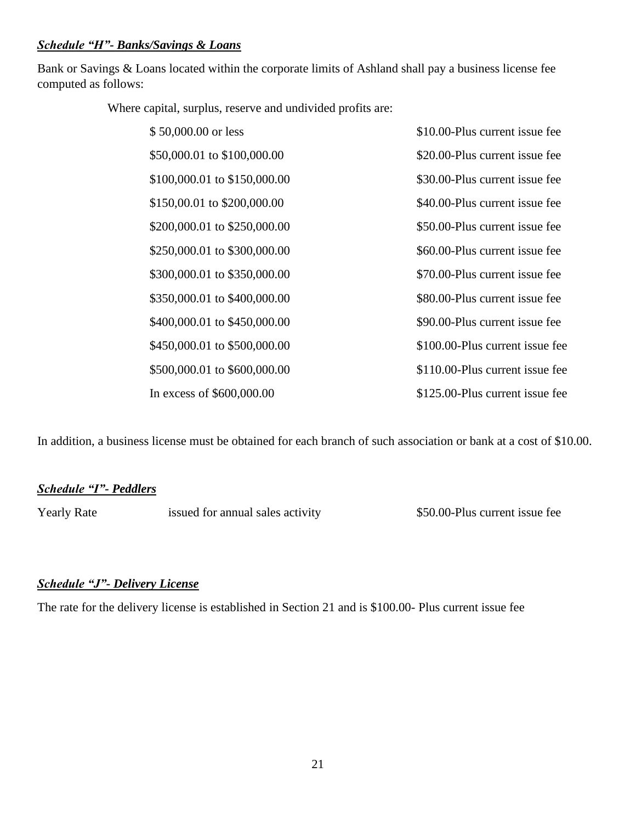## *Schedule "H"- Banks/Savings & Loans*

Bank or Savings & Loans located within the corporate limits of Ashland shall pay a business license fee computed as follows:

Where capital, surplus, reserve and undivided profits are:

| \$50,000.00 or less          | \$10.00-Plus current issue fee  |
|------------------------------|---------------------------------|
| \$50,000.01 to \$100,000.00  | \$20.00-Plus current issue fee  |
| \$100,000.01 to \$150,000.00 | \$30.00-Plus current issue fee  |
| \$150,00.01 to \$200,000.00  | \$40.00-Plus current issue fee  |
| \$200,000.01 to \$250,000.00 | \$50.00-Plus current issue fee  |
| \$250,000.01 to \$300,000.00 | \$60.00-Plus current issue fee  |
| \$300,000.01 to \$350,000.00 | \$70.00-Plus current issue fee  |
| \$350,000.01 to \$400,000.00 | \$80.00-Plus current issue fee  |
| \$400,000.01 to \$450,000.00 | \$90.00-Plus current issue fee  |
| \$450,000.01 to \$500,000.00 | \$100.00-Plus current issue fee |
| \$500,000.01 to \$600,000.00 | \$110.00-Plus current issue fee |
| In excess of \$600,000.00    | \$125.00-Plus current issue fee |

In addition, a business license must be obtained for each branch of such association or bank at a cost of \$10.00.

### *Schedule "I"- Peddlers*

Yearly Rate issued for annual sales activity \$50.00-Plus current issue fee

### *Schedule "J"- Delivery License*

The rate for the delivery license is established in Section 21 and is \$100.00- Plus current issue fee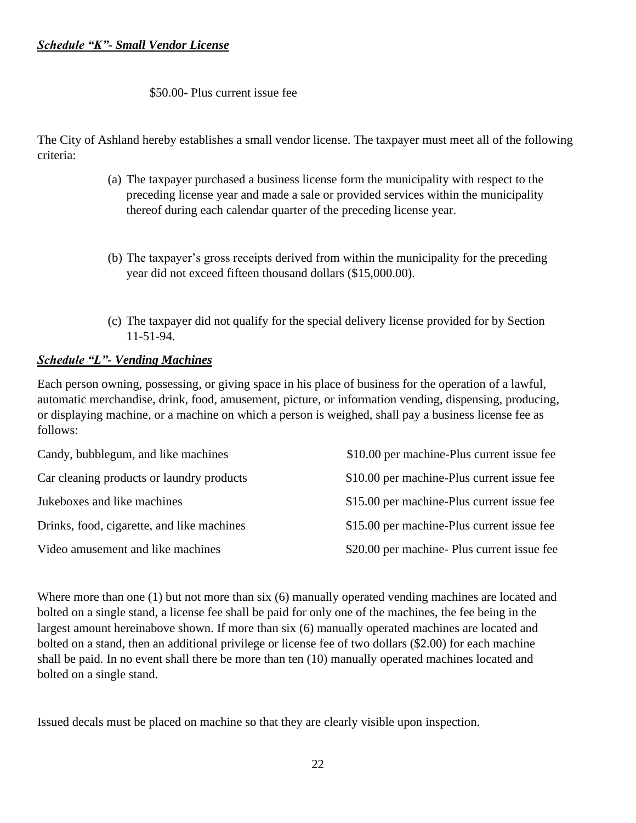## \$50.00- Plus current issue fee

The City of Ashland hereby establishes a small vendor license. The taxpayer must meet all of the following criteria:

- (a) The taxpayer purchased a business license form the municipality with respect to the preceding license year and made a sale or provided services within the municipality thereof during each calendar quarter of the preceding license year.
- (b) The taxpayer's gross receipts derived from within the municipality for the preceding year did not exceed fifteen thousand dollars (\$15,000.00).
- (c) The taxpayer did not qualify for the special delivery license provided for by Section 11-51-94.

# *Schedule "L"- Vending Machines*

Each person owning, possessing, or giving space in his place of business for the operation of a lawful, automatic merchandise, drink, food, amusement, picture, or information vending, dispensing, producing, or displaying machine, or a machine on which a person is weighed, shall pay a business license fee as follows:

| Candy, bubblegum, and like machines        | \$10.00 per machine-Plus current issue fee |
|--------------------------------------------|--------------------------------------------|
| Car cleaning products or laundry products  | \$10.00 per machine-Plus current issue fee |
| Jukeboxes and like machines                | \$15.00 per machine-Plus current issue fee |
| Drinks, food, cigarette, and like machines | \$15.00 per machine-Plus current issue fee |
| Video amusement and like machines          | \$20.00 per machine Plus current issue fee |

Where more than one (1) but not more than six (6) manually operated vending machines are located and bolted on a single stand, a license fee shall be paid for only one of the machines, the fee being in the largest amount hereinabove shown. If more than six (6) manually operated machines are located and bolted on a stand, then an additional privilege or license fee of two dollars (\$2.00) for each machine shall be paid. In no event shall there be more than ten (10) manually operated machines located and bolted on a single stand.

Issued decals must be placed on machine so that they are clearly visible upon inspection.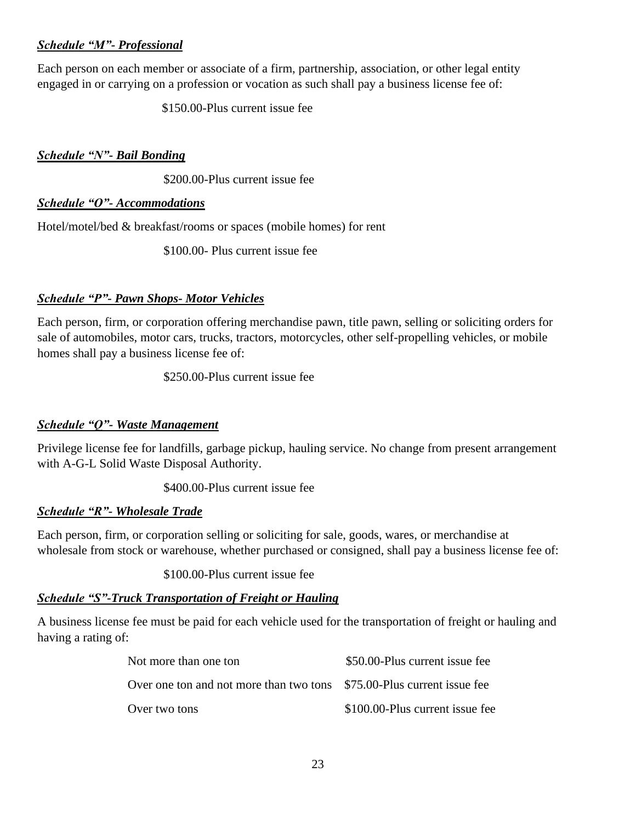# *Schedule "M"- Professional*

Each person on each member or associate of a firm, partnership, association, or other legal entity engaged in or carrying on a profession or vocation as such shall pay a business license fee of:

\$150.00-Plus current issue fee

# *Schedule "N"- Bail Bonding*

\$200.00-Plus current issue fee

# *Schedule "O"- Accommodations*

Hotel/motel/bed & breakfast/rooms or spaces (mobile homes) for rent

\$100.00- Plus current issue fee

# *Schedule "P"- Pawn Shops- Motor Vehicles*

Each person, firm, or corporation offering merchandise pawn, title pawn, selling or soliciting orders for sale of automobiles, motor cars, trucks, tractors, motorcycles, other self-propelling vehicles, or mobile homes shall pay a business license fee of:

\$250.00-Plus current issue fee

# *Schedule "Q"- Waste Management*

Privilege license fee for landfills, garbage pickup, hauling service. No change from present arrangement with A-G-L Solid Waste Disposal Authority.

\$400.00-Plus current issue fee

# *Schedule "R"- Wholesale Trade*

Each person, firm, or corporation selling or soliciting for sale, goods, wares, or merchandise at wholesale from stock or warehouse, whether purchased or consigned, shall pay a business license fee of:

\$100.00-Plus current issue fee

# *Schedule "S"-Truck Transportation of Freight or Hauling*

A business license fee must be paid for each vehicle used for the transportation of freight or hauling and having a rating of:

| Not more than one ton                                                  | \$50.00-Plus current issue fee  |
|------------------------------------------------------------------------|---------------------------------|
| Over one ton and not more than two tons \$75.00-Plus current issue fee |                                 |
| Over two tons                                                          | \$100.00-Plus current issue fee |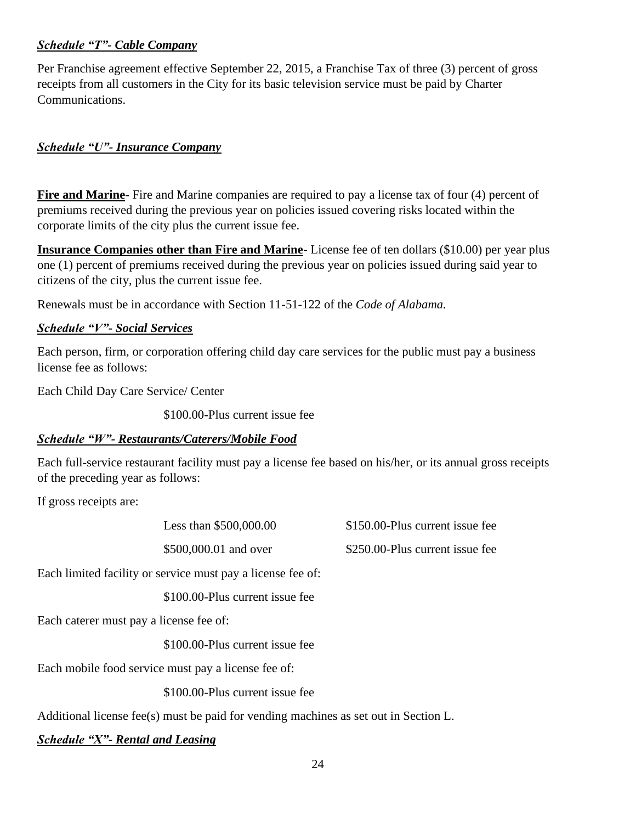# *Schedule "T"- Cable Company*

Per Franchise agreement effective September 22, 2015, a Franchise Tax of three (3) percent of gross receipts from all customers in the City for its basic television service must be paid by Charter Communications.

# *Schedule "U"- Insurance Company*

**Fire and Marine**- Fire and Marine companies are required to pay a license tax of four (4) percent of premiums received during the previous year on policies issued covering risks located within the corporate limits of the city plus the current issue fee.

**Insurance Companies other than Fire and Marine**- License fee of ten dollars (\$10.00) per year plus one (1) percent of premiums received during the previous year on policies issued during said year to citizens of the city, plus the current issue fee.

Renewals must be in accordance with Section 11-51-122 of the *Code of Alabama.* 

# *Schedule "V"- Social Services*

Each person, firm, or corporation offering child day care services for the public must pay a business license fee as follows:

Each Child Day Care Service/ Center

\$100.00-Plus current issue fee

# *Schedule "W"- Restaurants/Caterers/Mobile Food*

Each full-service restaurant facility must pay a license fee based on his/her, or its annual gross receipts of the preceding year as follows:

If gross receipts are:

Less than \$500,000.00 \$150.00-Plus current issue fee

\$500,000.01 and over \$250.00-Plus current issue fee

Each limited facility or service must pay a license fee of:

\$100.00-Plus current issue fee

Each caterer must pay a license fee of:

\$100.00-Plus current issue fee

Each mobile food service must pay a license fee of:

\$100.00-Plus current issue fee

Additional license fee(s) must be paid for vending machines as set out in Section L.

*Schedule "X"- Rental and Leasing*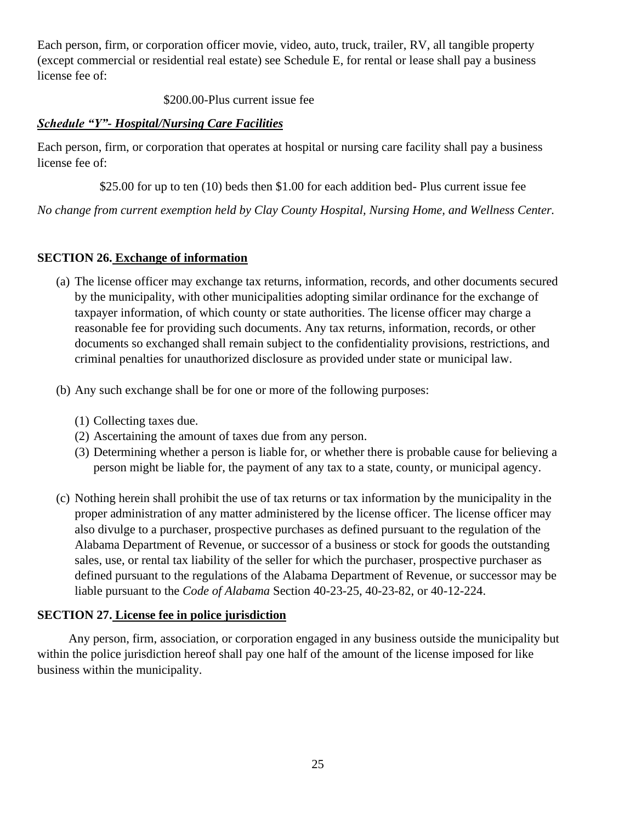Each person, firm, or corporation officer movie, video, auto, truck, trailer, RV, all tangible property (except commercial or residential real estate) see Schedule E, for rental or lease shall pay a business license fee of:

\$200.00-Plus current issue fee

## *Schedule "Y"- Hospital/Nursing Care Facilities*

Each person, firm, or corporation that operates at hospital or nursing care facility shall pay a business license fee of:

\$25.00 for up to ten (10) beds then \$1.00 for each addition bed-Plus current issue fee

*No change from current exemption held by Clay County Hospital, Nursing Home, and Wellness Center.*

# **SECTION 26. Exchange of information**

- (a) The license officer may exchange tax returns, information, records, and other documents secured by the municipality, with other municipalities adopting similar ordinance for the exchange of taxpayer information, of which county or state authorities. The license officer may charge a reasonable fee for providing such documents. Any tax returns, information, records, or other documents so exchanged shall remain subject to the confidentiality provisions, restrictions, and criminal penalties for unauthorized disclosure as provided under state or municipal law.
- (b) Any such exchange shall be for one or more of the following purposes:
	- (1) Collecting taxes due.
	- (2) Ascertaining the amount of taxes due from any person.
	- (3) Determining whether a person is liable for, or whether there is probable cause for believing a person might be liable for, the payment of any tax to a state, county, or municipal agency.
- (c) Nothing herein shall prohibit the use of tax returns or tax information by the municipality in the proper administration of any matter administered by the license officer. The license officer may also divulge to a purchaser, prospective purchases as defined pursuant to the regulation of the Alabama Department of Revenue, or successor of a business or stock for goods the outstanding sales, use, or rental tax liability of the seller for which the purchaser, prospective purchaser as defined pursuant to the regulations of the Alabama Department of Revenue, or successor may be liable pursuant to the *Code of Alabama* Section 40-23-25, 40-23-82, or 40-12-224.

# **SECTION 27. License fee in police jurisdiction**

 Any person, firm, association, or corporation engaged in any business outside the municipality but within the police jurisdiction hereof shall pay one half of the amount of the license imposed for like business within the municipality.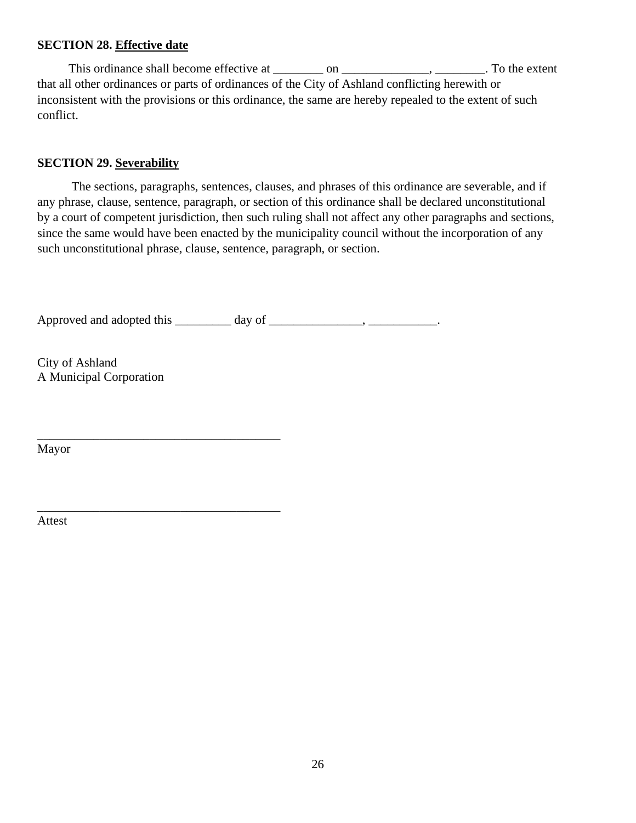### **SECTION 28. Effective date**

This ordinance shall become effective at \_\_\_\_\_\_\_ on \_\_\_\_\_\_\_\_\_\_\_\_\_\_\_\_\_\_\_\_\_\_. To the extent that all other ordinances or parts of ordinances of the City of Ashland conflicting herewith or inconsistent with the provisions or this ordinance, the same are hereby repealed to the extent of such conflict.

#### **SECTION 29. Severability**

 The sections, paragraphs, sentences, clauses, and phrases of this ordinance are severable, and if any phrase, clause, sentence, paragraph, or section of this ordinance shall be declared unconstitutional by a court of competent jurisdiction, then such ruling shall not affect any other paragraphs and sections, since the same would have been enacted by the municipality council without the incorporation of any such unconstitutional phrase, clause, sentence, paragraph, or section.

Approved and adopted this \_\_\_\_\_\_\_\_\_ day of \_\_\_\_\_\_\_\_\_\_\_\_\_, \_\_\_\_\_\_\_\_\_\_\_\_.

City of Ashland A Municipal Corporation

\_\_\_\_\_\_\_\_\_\_\_\_\_\_\_\_\_\_\_\_\_\_\_\_\_\_\_\_\_\_\_\_\_\_\_\_\_\_\_

\_\_\_\_\_\_\_\_\_\_\_\_\_\_\_\_\_\_\_\_\_\_\_\_\_\_\_\_\_\_\_\_\_\_\_\_\_\_\_

Mayor

Attest